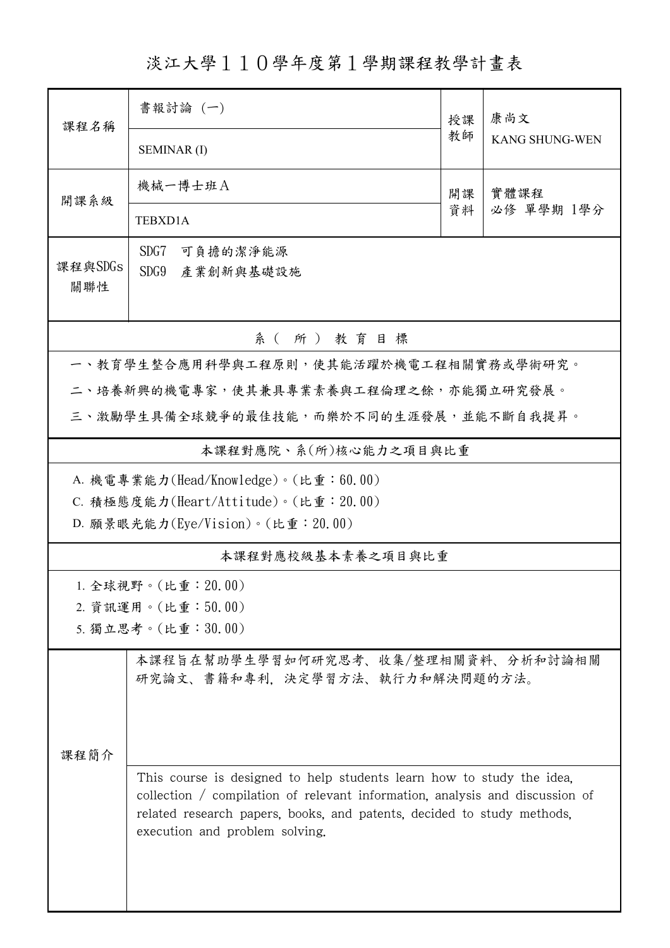淡江大學110學年度第1學期課程教學計畫表

| 課程名稱                                   | 書報討論 (一)                                                                                                                                                                                                                                                          | 授課 | 康尚文<br><b>KANG SHUNG-WEN</b> |  |  |  |  |
|----------------------------------------|-------------------------------------------------------------------------------------------------------------------------------------------------------------------------------------------------------------------------------------------------------------------|----|------------------------------|--|--|--|--|
|                                        | <b>SEMINAR (I)</b>                                                                                                                                                                                                                                                | 教師 |                              |  |  |  |  |
| 開課系級                                   | 機械一博士班A                                                                                                                                                                                                                                                           | 開課 | 實體課程                         |  |  |  |  |
|                                        | TEBXD1A                                                                                                                                                                                                                                                           | 資料 | 必修 單學期 1學分                   |  |  |  |  |
| 課程與SDGs                                | SDG7<br>可負擔的潔淨能源                                                                                                                                                                                                                                                  |    |                              |  |  |  |  |
| 關聯性                                    | SDG9<br>產業創新與基礎設施                                                                                                                                                                                                                                                 |    |                              |  |  |  |  |
| 系(所)教育目標                               |                                                                                                                                                                                                                                                                   |    |                              |  |  |  |  |
| 一、教育學生整合應用科學與工程原則,使其能活躍於機電工程相關實務或學術研究。 |                                                                                                                                                                                                                                                                   |    |                              |  |  |  |  |
|                                        | 二、培養新興的機電專家,使其兼具專業素養與工程倫理之餘,亦能獨立研究發展。                                                                                                                                                                                                                             |    |                              |  |  |  |  |
|                                        | 三、激勵學生具備全球競爭的最佳技能,而樂於不同的生涯發展,並能不斷自我提昇。                                                                                                                                                                                                                            |    |                              |  |  |  |  |
| 本課程對應院、系(所)核心能力之項目與比重                  |                                                                                                                                                                                                                                                                   |    |                              |  |  |  |  |
|                                        | A. 機電專業能力(Head/Knowledge)。(比重:60.00)                                                                                                                                                                                                                              |    |                              |  |  |  |  |
|                                        | C. 積極態度能力(Heart/Attitude)。(比重: 20.00)                                                                                                                                                                                                                             |    |                              |  |  |  |  |
|                                        | D. 願景眼光能力(Eye/Vision)。(比重: 20.00)                                                                                                                                                                                                                                 |    |                              |  |  |  |  |
| 本課程對應校級基本素養之項目與比重                      |                                                                                                                                                                                                                                                                   |    |                              |  |  |  |  |
|                                        | 1. 全球視野。(比重:20.00)                                                                                                                                                                                                                                                |    |                              |  |  |  |  |
|                                        | 2. 資訊運用。(比重:50.00)                                                                                                                                                                                                                                                |    |                              |  |  |  |  |
|                                        | 5. 獨立思考。(比重:30.00)                                                                                                                                                                                                                                                |    |                              |  |  |  |  |
|                                        | 本課程旨在幫助學生學習如何研究思考、收集/整理相關資料、分析和討論相關<br>研究論文、書籍和專利,決定學習方法、執行力和解決問題的方法。                                                                                                                                                                                             |    |                              |  |  |  |  |
| 課程簡介                                   | This course is designed to help students learn how to study the idea,<br>collection / compilation of relevant information, analysis and discussion of<br>related research papers, books, and patents, decided to study methods,<br>execution and problem solving. |    |                              |  |  |  |  |
|                                        |                                                                                                                                                                                                                                                                   |    |                              |  |  |  |  |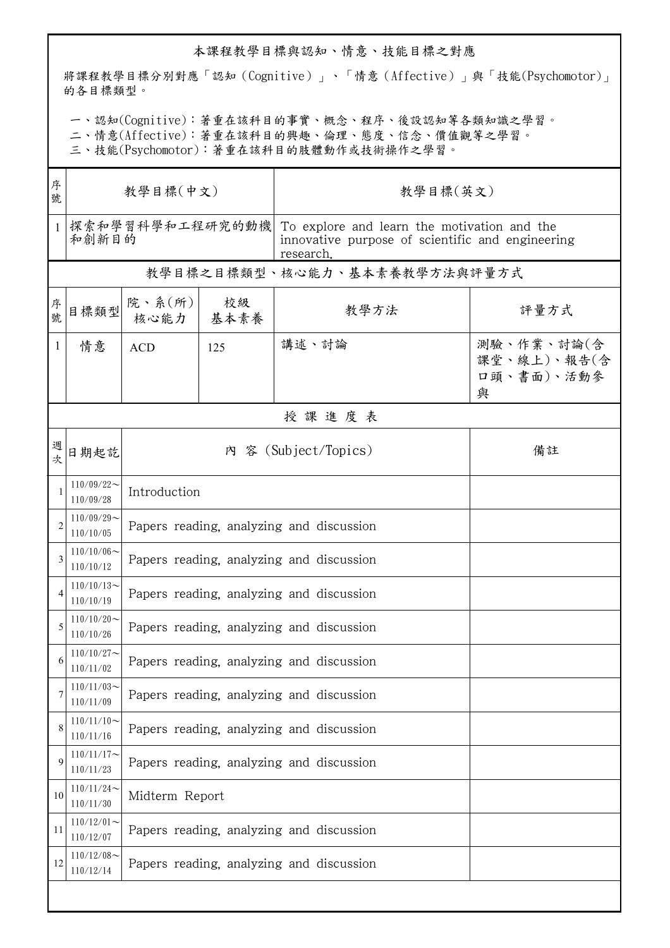## 本課程教學目標與認知、情意、技能目標之對應

將課程教學目標分別對應「認知(Cognitive)」、「情意(Affective)」與「技能(Psychomotor)」 的各目標類型。

一、認知(Cognitive):著重在該科目的事實、概念、程序、後設認知等各類知識之學習。

二、情意(Affective):著重在該科目的興趣、倫理、態度、信念、價值觀等之學習。

三、技能(Psychomotor):著重在該科目的肢體動作或技術操作之學習。

| 序<br>號         | 教學目標(中文)                      |                                          |     | 教學目標(英文)                                                                                                     |                                              |  |  |  |
|----------------|-------------------------------|------------------------------------------|-----|--------------------------------------------------------------------------------------------------------------|----------------------------------------------|--|--|--|
| $\mathbf{1}$   | 探索和學習科學和工程研究的動機 <br>和創新目的     |                                          |     | To explore and learn the motivation and the<br>innovative purpose of scientific and engineering<br>research. |                                              |  |  |  |
|                |                               |                                          |     | 教學目標之目標類型、核心能力、基本素養教學方法與評量方式                                                                                 |                                              |  |  |  |
| 序號             | 目標類型                          | 院、系(所)<br>核心能力   基本素養                    | 校級  | 教學方法                                                                                                         | 評量方式                                         |  |  |  |
| $\mathbf{1}$   | 情意                            | <b>ACD</b>                               | 125 | 講述、討論                                                                                                        | 測驗、作業、討論(含<br>課堂、線上)、報告(含<br>口頭、書面)、活動參<br>與 |  |  |  |
|                | 授課進度表                         |                                          |     |                                                                                                              |                                              |  |  |  |
| 週次             | 日期起訖                          | 內 容 (Subject/Topics)<br>備註               |     |                                                                                                              |                                              |  |  |  |
| 1              | $110/09/22$ ~<br>110/09/28    | Introduction                             |     |                                                                                                              |                                              |  |  |  |
| $\overline{2}$ | $110/09/29$ ~<br>110/10/05    | Papers reading, analyzing and discussion |     |                                                                                                              |                                              |  |  |  |
| 3              | $110/10/06 \sim$<br>110/10/12 | Papers reading, analyzing and discussion |     |                                                                                                              |                                              |  |  |  |
| 4              | $110/10/13$ ~<br>110/10/19    | Papers reading, analyzing and discussion |     |                                                                                                              |                                              |  |  |  |
| 5              | $110/10/20$ ~<br>110/10/26    | Papers reading, analyzing and discussion |     |                                                                                                              |                                              |  |  |  |
| 6              | $110/10/27$ ~<br>110/11/02    | Papers reading, analyzing and discussion |     |                                                                                                              |                                              |  |  |  |
|                | $110/11/03$ ~<br>110/11/09    | Papers reading, analyzing and discussion |     |                                                                                                              |                                              |  |  |  |
| 8              | $110/11/10$ ~<br>110/11/16    | Papers reading, analyzing and discussion |     |                                                                                                              |                                              |  |  |  |
| 9              | $110/11/17$ ~<br>110/11/23    | Papers reading, analyzing and discussion |     |                                                                                                              |                                              |  |  |  |
| 10             | $110/11/24$ ~<br>110/11/30    | Midterm Report                           |     |                                                                                                              |                                              |  |  |  |
| 11             | $110/12/01$ ~<br>110/12/07    | Papers reading, analyzing and discussion |     |                                                                                                              |                                              |  |  |  |
| 12             | $110/12/08$ ~<br>110/12/14    | Papers reading, analyzing and discussion |     |                                                                                                              |                                              |  |  |  |
|                |                               |                                          |     |                                                                                                              |                                              |  |  |  |